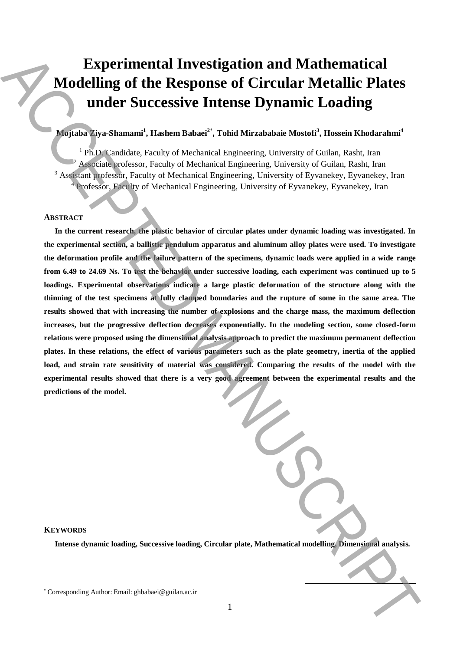# **Experimental Investigation and Mathematical Modelling of the Response of Circular Metallic Plates under Successive Intense Dynamic Loading**

# **Mojtaba Ziya-Shamami<sup>1</sup> , Hashem Babaei<sup>2</sup>**\* **, Tohid Mirzababaie Mostofi<sup>3</sup> , Hossein Khodarahmi<sup>4</sup>**

<sup>1</sup> Ph.D. Candidate, Faculty of Mechanical Engineering, University of Guilan, Rasht, Iran <sup>2</sup> Associate professor, Faculty of Mechanical Engineering, University of Guilan, Rasht, Iran <sup>3</sup> Assistant professor, Faculty of Mechanical Engineering, University of Eyvanekey, Eyvanekey, Iran <sup>4</sup> Professor, Faculty of Mechanical Engineering, University of Eyvanekey, Eyvanekey, Iran

### **ABSTRACT**

**In the current research, the plastic behavior of circular plates under dynamic loading was investigated. In the experimental section, a ballistic pendulum apparatus and aluminum alloy plates were used. To investigate the deformation profile and the failure pattern of the specimens, dynamic loads were applied in a wide range from 6.49 to 24.69 Ns. To test the behavior under successive loading, each experiment was continued up to 5 loadings. Experimental observations indicate a large plastic deformation of the structure along with the thinning of the test specimens at fully clamped boundaries and the rupture of some in the same area. The results showed that with increasing the number of explosions and the charge mass, the maximum deflection increases, but the progressive deflection decreases exponentially. In the modeling section, some closed-form relations were proposed using the dimensional analysis approach to predict the maximum permanent deflection plates. In these relations, the effect of various parameters such as the plate geometry, inertia of the applied load, and strain rate sensitivity of material was considered. Comparing the results of the model with the experimental results showed that there is a very good agreement between the experimental results and the predictions of the model.** Experimental Investigation and Mathematical<br>
Modelling of the Response of Circular Metallic Plates<br>
ander Successive Internse Dynamic Loading<br>
(and Successive Internse Dynamic Loading<br>
(and Successive Internse Dynamic Loa

# **KEYWORDS**

**Intense dynamic loading, Successive loading, Circular plate, Mathematical modelling, Dimensional analysis.**

**.**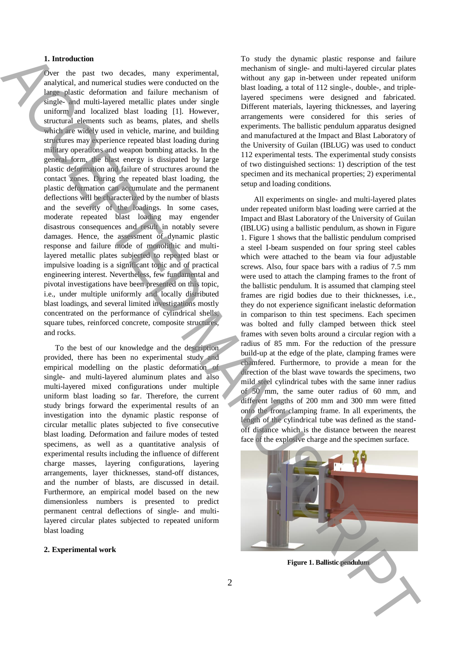## **1. Introduction**

Over the past two decades, many experimental, analytical, and numerical studies were conducted on the large plastic deformation and failure mechanism of single- and multi-layered metallic plates under single uniform and localized blast loading [1]. However, structural elements such as beams, plates, and shells which are widely used in vehicle, marine, and building structures may experience repeated blast loading during military operations and weapon bombing attacks. In the general form, the blast energy is dissipated by large plastic deformation and failure of structures around the contact zones. During the repeated blast loading, the plastic deformation can accumulate and the permanent deflections will be characterized by the number of blasts and the severity of the loadings. In some cases, moderate repeated blast loading may engender disastrous consequences and result in notably severe damages. Hence, the assessment of dynamic plastic response and failure mode of monolithic and multilayered metallic plates subjected to repeated blast or impulsive loading is a significant topic and of practical engineering interest. Nevertheless, few fundamental and pivotal investigations have been presented on this topic, i.e., under multiple uniformly and locally distributed blast loadings, and several limited investigations mostly concentrated on the performance of cylindrical shells, square tubes, reinforced concrete, composite structures, and rocks. **F** for the near two distributions and continue the commission in the signal period in the near two distributions in the near two distributions are equipment in the near two distributions in the near two distributions are

To the best of our knowledge and the description provided, there has been no experimental study and empirical modelling on the plastic deformation of single- and multi-layered aluminum plates and also multi-layered mixed configurations under multiple uniform blast loading so far. Therefore, the current study brings forward the experimental results of an investigation into the dynamic plastic response of circular metallic plates subjected to five consecutive blast loading. Deformation and failure modes of tested specimens, as well as a quantitative analysis of experimental results including the influence of different charge masses, layering configurations, layering arrangements, layer thicknesses, stand-off distances, and the number of blasts, are discussed in detail. Furthermore, an empirical model based on the new dimensionless numbers is presented to predict permanent central deflections of single- and multilayered circular plates subjected to repeated uniform blast loading

#### **2. Experimental work**

To study the dynamic plastic response and failure mechanism of single- and multi-layered circular plates without any gap in-between under repeated uniform blast loading, a total of 112 single-, double-, and triplelayered specimens were designed and fabricated. Different materials, layering thicknesses, and layering arrangements were considered for this series of experiments. The ballistic pendulum apparatus designed and manufactured at the Impact and Blast Laboratory of the University of Guilan (IBLUG) was used to conduct 112 experimental tests. The experimental study consists of two distinguished sections: 1) description of the test specimen and its mechanical properties; 2) experimental setup and loading conditions.

All experiments on single- and multi-layered plates under repeated uniform blast loading were carried at the Impact and Blast Laboratory of the University of Guilan (IBLUG) using a ballistic pendulum, as shown in Figure 1. Figure 1 shows that the ballistic pendulum comprised a steel I-beam suspended on four spring steel cables which were attached to the beam via four adjustable screws. Also, four space bars with a radius of 7.5 mm were used to attach the clamping frames to the front of the ballistic pendulum. It is assumed that clamping steel frames are rigid bodies due to their thicknesses, i.e., they do not experience significant inelastic deformation in comparison to thin test specimens. Each specimen was bolted and fully clamped between thick steel frames with seven bolts around a circular region with a radius of 85 mm. For the reduction of the pressure build-up at the edge of the plate, clamping frames were chamfered. Furthermore, to provide a mean for the direction of the blast wave towards the specimens, two mild steel cylindrical tubes with the same inner radius of 50 mm, the same outer radius of 60 mm, and different lengths of 200 mm and 300 mm were fitted onto the front clamping frame. In all experiments, the length of the cylindrical tube was defined as the standoff distance which is the distance between the nearest face of the explosive charge and the specimen surface.